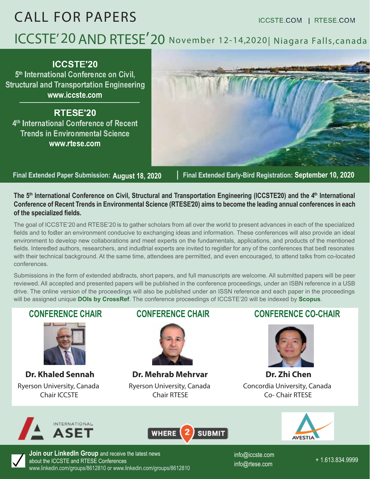# CALL FOR PAPERS ICCSTE.COM | RTESE.COM **ICCSTE' 20 AND RTESE' 20 November 12-14,2020| Niagara Falls,canada**

**ICCSTE'20 5th International Conference on Civil, Structural and Transportation Engineering www.iccste.com**

**RTESE'20 4th International Conference of Recent Trends in Environmental Science www.rtese.com**

**Final Extended Paper Submission: August 18, 2020 | Final Extended Early-Bird Registration: September 10, 2020**

The 5<sup>th</sup> International Conference on Civil, Structural and Transportation Engineering (ICCSTE20) and the 4<sup>th</sup> International **Conference of Recent Trends in Environmental Science (RTESE'20) aims to become the leading annual conferences in each of the specialized fields.** 

The goal of ICCSTE'20 and RTESE'20 is to gather scholars from all over the world to present advances in each of the specialized fields and to foster an environment conducive to exchanging ideas and information. These conferences will also provide an ideal environment to develop new collaborations and meet experts on the fundamentals, applications, and products of the mentioned fields. Interested authors, researchers, and industrial experts are invited to register for any of the conferences that best resonates with their technical background. At the same time, attendees are permitted, and even encouraged, to attend talks from co-located conferences.

Submissions in the form of extended abstracts, short papers, and full manuscripts are welcome. All submitted papers will be peer reviewed. All accepted and presented papers will be published in the conference proceedings, under an ISBN reference in a USB drive. The online version of the proceedings will also be published under an ISSN reference and each paper in the proceedings will be assigned unique **DOIs by CrossRef**. The conference proceedings of ICCSTE'20 will be indexed by **Scopus**.

## **CONFERENCE CHAIR**



**Dr. Khaled Sennah** Ryerson University, Canada Chair ICCSTE



Ryerson University, Canada Chair RTESE **Dr. Mehrab Mehrvar Dr. Zhi Chen** 

### **CONFERENCE CHAIR CONFERENCE CO-CHAIR**



Concordia University, Canada Co- Chair RTESE









**Join our LinkedIn Group** and receive the latest news about the ICCSTE and RTESE Conferences www.linkedin.com/groups/8612810 or www.linkedin.com/groups/8612810

+ 1.613.834.9999 info@iccste.com info@rtese.com